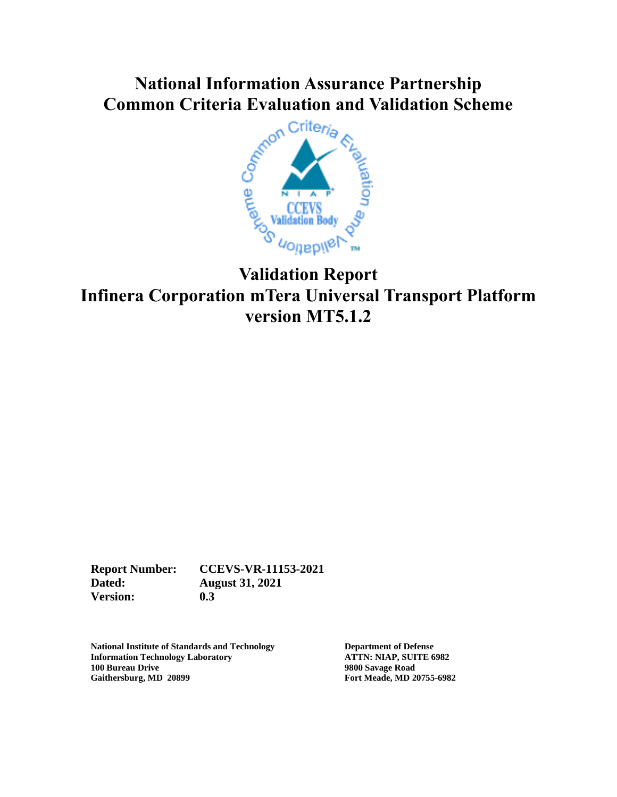# **Common Criteria Evaluation and Validation Scheme**



## **Validation Report Infinera Corporation mTera Universal Transport Platform version MT5.1.2**

**Report Number: CCEVS-VR-11153-2021 Dated: August 31, 2021 Version: 0.3**

**National Institute of Standards and Technology Department of Defense Information Technology Laboratory**<br>**100 Bureau Drive Gaithersburg, MD 20899 Fort Meade, MD 20755-6982**

**100 Bureau Drive 9800 Savage Road**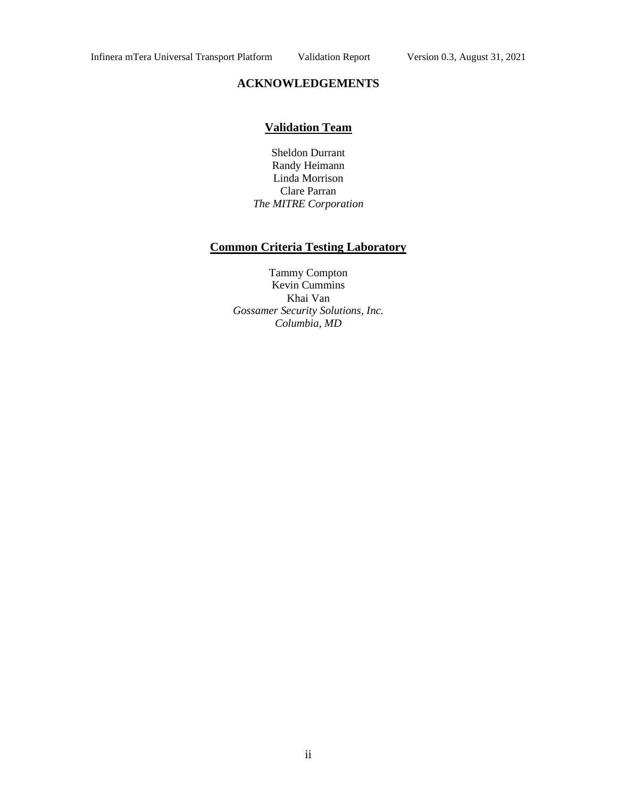#### **ACKNOWLEDGEMENTS**

#### **Validation Team**

Sheldon Durrant Randy Heimann Linda Morrison Clare Parran *The MITRE Corporation*

#### **Common Criteria Testing Laboratory**

Tammy Compton Kevin Cummins Khai Van *Gossamer Security Solutions, Inc. Columbia, MD*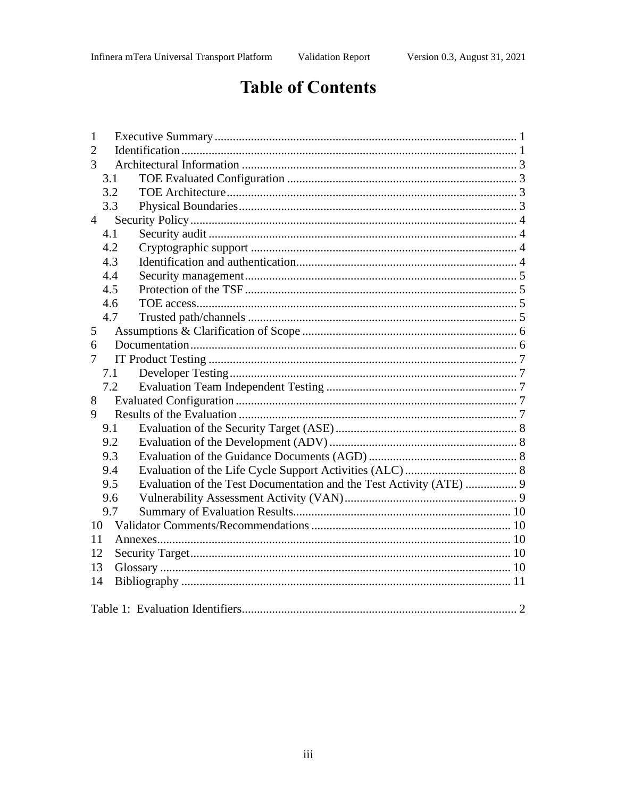# **Table of Contents**

| 1                                                                          |  |  |  |
|----------------------------------------------------------------------------|--|--|--|
| $\mathfrak{2}$                                                             |  |  |  |
| 3                                                                          |  |  |  |
| 3.1                                                                        |  |  |  |
| 3.2                                                                        |  |  |  |
| 3.3                                                                        |  |  |  |
| $\overline{4}$                                                             |  |  |  |
| 4.1                                                                        |  |  |  |
| 4.2                                                                        |  |  |  |
| 4.3                                                                        |  |  |  |
| 4.4                                                                        |  |  |  |
| 4.5                                                                        |  |  |  |
| 4.6                                                                        |  |  |  |
| 4.7                                                                        |  |  |  |
| 5                                                                          |  |  |  |
| 6                                                                          |  |  |  |
| 7                                                                          |  |  |  |
| 7.1                                                                        |  |  |  |
| 7.2                                                                        |  |  |  |
| 8                                                                          |  |  |  |
| 9                                                                          |  |  |  |
| 9.1                                                                        |  |  |  |
| 9.2                                                                        |  |  |  |
| 9.3                                                                        |  |  |  |
| 9.4                                                                        |  |  |  |
| Evaluation of the Test Documentation and the Test Activity (ATE)  9<br>9.5 |  |  |  |
| 9.6                                                                        |  |  |  |
| 9.7                                                                        |  |  |  |
| 10                                                                         |  |  |  |
| 11                                                                         |  |  |  |
| 12                                                                         |  |  |  |
| 13                                                                         |  |  |  |
| 14                                                                         |  |  |  |
|                                                                            |  |  |  |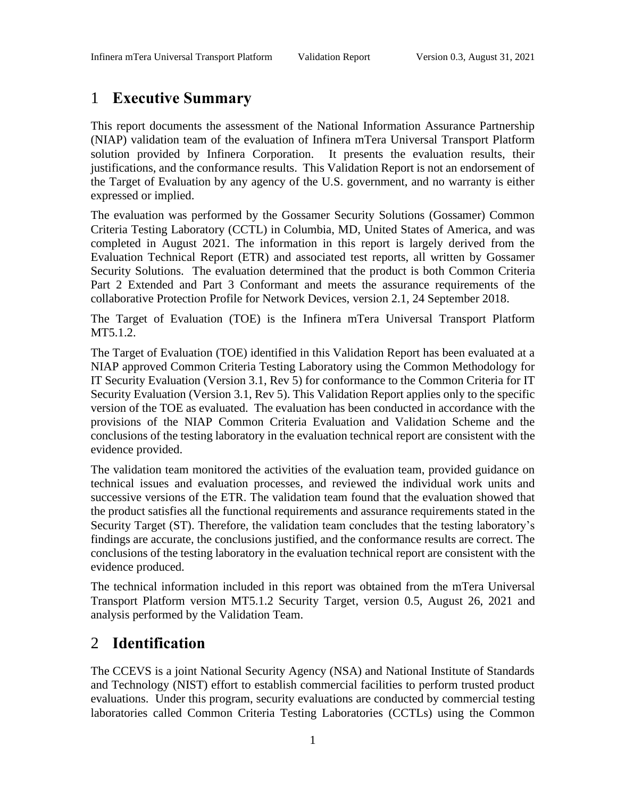## <span id="page-3-0"></span>1 **Executive Summary**

This report documents the assessment of the National Information Assurance Partnership (NIAP) validation team of the evaluation of Infinera mTera Universal Transport Platform solution provided by Infinera Corporation. It presents the evaluation results, their justifications, and the conformance results. This Validation Report is not an endorsement of the Target of Evaluation by any agency of the U.S. government, and no warranty is either expressed or implied.

The evaluation was performed by the Gossamer Security Solutions (Gossamer) Common Criteria Testing Laboratory (CCTL) in Columbia, MD, United States of America, and was completed in August 2021. The information in this report is largely derived from the Evaluation Technical Report (ETR) and associated test reports, all written by Gossamer Security Solutions. The evaluation determined that the product is both Common Criteria Part 2 Extended and Part 3 Conformant and meets the assurance requirements of the collaborative Protection Profile for Network Devices, version 2.1, 24 September 2018.

The Target of Evaluation (TOE) is the Infinera mTera Universal Transport Platform MT5.1.2.

The Target of Evaluation (TOE) identified in this Validation Report has been evaluated at a NIAP approved Common Criteria Testing Laboratory using the Common Methodology for IT Security Evaluation (Version 3.1, Rev 5) for conformance to the Common Criteria for IT Security Evaluation (Version 3.1, Rev 5). This Validation Report applies only to the specific version of the TOE as evaluated. The evaluation has been conducted in accordance with the provisions of the NIAP Common Criteria Evaluation and Validation Scheme and the conclusions of the testing laboratory in the evaluation technical report are consistent with the evidence provided.

The validation team monitored the activities of the evaluation team, provided guidance on technical issues and evaluation processes, and reviewed the individual work units and successive versions of the ETR. The validation team found that the evaluation showed that the product satisfies all the functional requirements and assurance requirements stated in the Security Target (ST). Therefore, the validation team concludes that the testing laboratory's findings are accurate, the conclusions justified, and the conformance results are correct. The conclusions of the testing laboratory in the evaluation technical report are consistent with the evidence produced.

The technical information included in this report was obtained from the mTera Universal Transport Platform version MT5.1.2 Security Target, version 0.5, August 26, 2021 and analysis performed by the Validation Team.

## <span id="page-3-1"></span>2 **Identification**

The CCEVS is a joint National Security Agency (NSA) and National Institute of Standards and Technology (NIST) effort to establish commercial facilities to perform trusted product evaluations. Under this program, security evaluations are conducted by commercial testing laboratories called Common Criteria Testing Laboratories (CCTLs) using the Common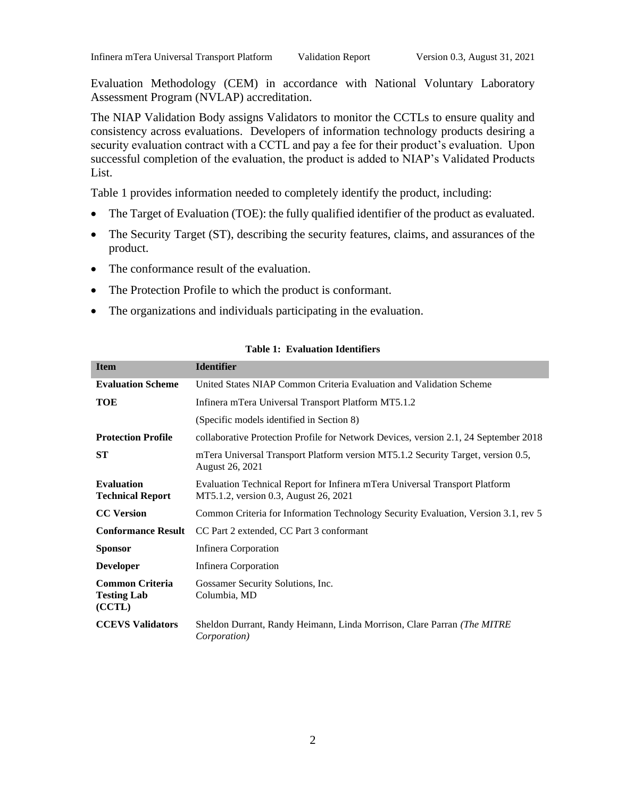Evaluation Methodology (CEM) in accordance with National Voluntary Laboratory Assessment Program (NVLAP) accreditation.

The NIAP Validation Body assigns Validators to monitor the CCTLs to ensure quality and consistency across evaluations. Developers of information technology products desiring a security evaluation contract with a CCTL and pay a fee for their product's evaluation. Upon successful completion of the evaluation, the product is added to NIAP's Validated Products List.

Table 1 provides information needed to completely identify the product, including:

- The Target of Evaluation (TOE): the fully qualified identifier of the product as evaluated.
- The Security Target (ST), describing the security features, claims, and assurances of the product.
- The conformance result of the evaluation.
- The Protection Profile to which the product is conformant.
- The organizations and individuals participating in the evaluation.

<span id="page-4-0"></span>

| <b>Item</b>                                            | <b>Identifier</b>                                                                                                    |  |  |
|--------------------------------------------------------|----------------------------------------------------------------------------------------------------------------------|--|--|
| <b>Evaluation Scheme</b>                               | United States NIAP Common Criteria Evaluation and Validation Scheme                                                  |  |  |
| <b>TOE</b>                                             | Infinera mTera Universal Transport Platform MT5.1.2                                                                  |  |  |
|                                                        | (Specific models identified in Section 8)                                                                            |  |  |
| <b>Protection Profile</b>                              | collaborative Protection Profile for Network Devices, version 2.1, 24 September 2018                                 |  |  |
| <b>ST</b>                                              | mTera Universal Transport Platform version MT5.1.2 Security Target, version 0.5,<br>August 26, 2021                  |  |  |
| <b>Evaluation</b><br><b>Technical Report</b>           | Evaluation Technical Report for Infinera mTera Universal Transport Platform<br>MT5.1.2, version 0.3, August 26, 2021 |  |  |
| <b>CC</b> Version                                      | Common Criteria for Information Technology Security Evaluation, Version 3.1, rev 5                                   |  |  |
| <b>Conformance Result</b>                              | CC Part 2 extended, CC Part 3 conformant                                                                             |  |  |
| <b>Sponsor</b>                                         | Infinera Corporation                                                                                                 |  |  |
| <b>Developer</b>                                       | Infinera Corporation                                                                                                 |  |  |
| <b>Common Criteria</b><br><b>Testing Lab</b><br>(CCTL) | Gossamer Security Solutions, Inc.<br>Columbia, MD                                                                    |  |  |
| <b>CCEVS Validators</b>                                | Sheldon Durrant, Randy Heimann, Linda Morrison, Clare Parran (The MITRE<br><i>Corporation</i> )                      |  |  |

#### **Table 1: Evaluation Identifiers**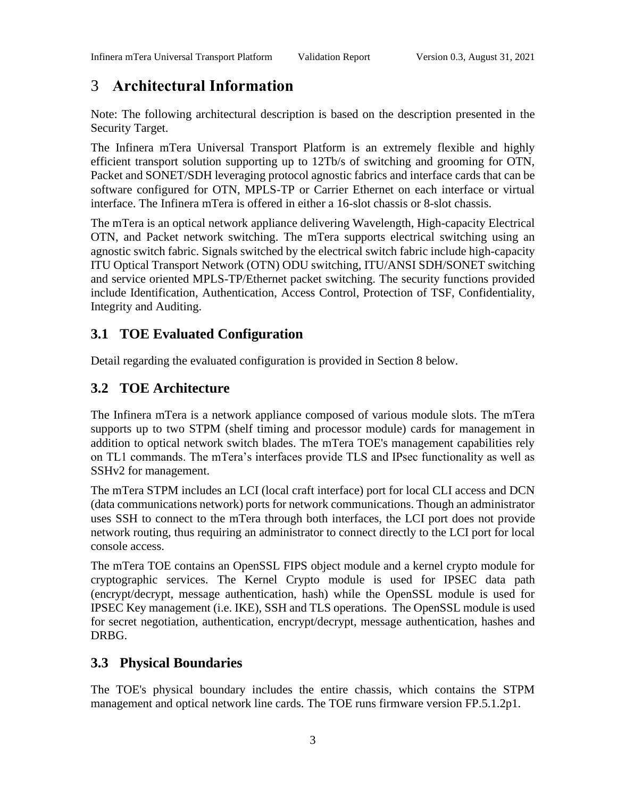## <span id="page-5-0"></span>3 **Architectural Information**

Note: The following architectural description is based on the description presented in the Security Target.

The Infinera mTera Universal Transport Platform is an extremely flexible and highly efficient transport solution supporting up to 12Tb/s of switching and grooming for OTN, Packet and SONET/SDH leveraging protocol agnostic fabrics and interface cards that can be software configured for OTN, MPLS-TP or Carrier Ethernet on each interface or virtual interface. The Infinera mTera is offered in either a 16-slot chassis or 8-slot chassis.

The mTera is an optical network appliance delivering Wavelength, High-capacity Electrical OTN, and Packet network switching. The mTera supports electrical switching using an agnostic switch fabric. Signals switched by the electrical switch fabric include high-capacity ITU Optical Transport Network (OTN) ODU switching, ITU/ANSI SDH/SONET switching and service oriented MPLS-TP/Ethernet packet switching. The security functions provided include Identification, Authentication, Access Control, Protection of TSF, Confidentiality, Integrity and Auditing.

## <span id="page-5-1"></span>**3.1 TOE Evaluated Configuration**

Detail regarding the evaluated configuration is provided in Section 8 below.

## <span id="page-5-2"></span>**3.2 TOE Architecture**

The Infinera mTera is a network appliance composed of various module slots. The mTera supports up to two STPM (shelf timing and processor module) cards for management in addition to optical network switch blades. The mTera TOE's management capabilities rely on TL1 commands. The mTera's interfaces provide TLS and IPsec functionality as well as SSHv2 for management.

The mTera STPM includes an LCI (local craft interface) port for local CLI access and DCN (data communications network) ports for network communications. Though an administrator uses SSH to connect to the mTera through both interfaces, the LCI port does not provide network routing, thus requiring an administrator to connect directly to the LCI port for local console access.

The mTera TOE contains an OpenSSL FIPS object module and a kernel crypto module for cryptographic services. The Kernel Crypto module is used for IPSEC data path (encrypt/decrypt, message authentication, hash) while the OpenSSL module is used for IPSEC Key management (i.e. IKE), SSH and TLS operations. The OpenSSL module is used for secret negotiation, authentication, encrypt/decrypt, message authentication, hashes and DRBG.

## <span id="page-5-3"></span>**3.3 Physical Boundaries**

The TOE's physical boundary includes the entire chassis, which contains the STPM management and optical network line cards. The TOE runs firmware version FP.5.1.2p1.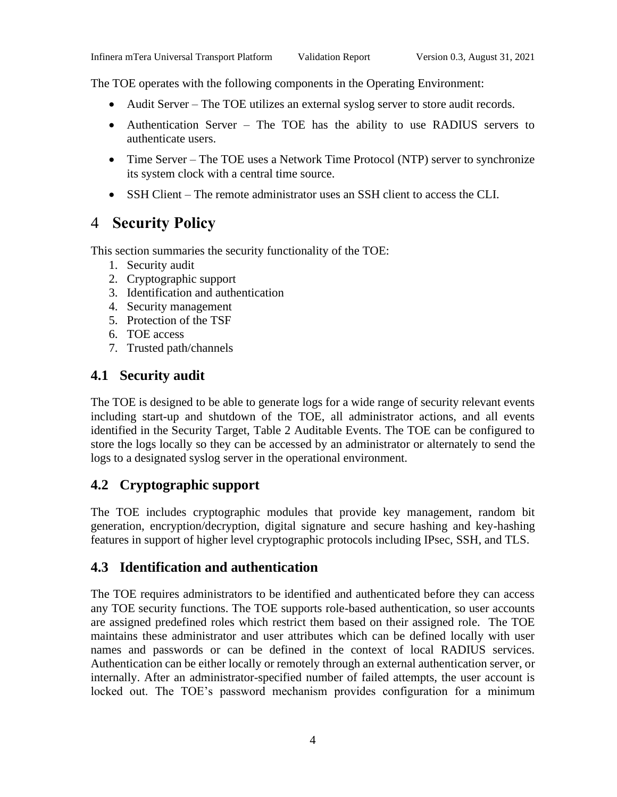The TOE operates with the following components in the Operating Environment:

- Audit Server The TOE utilizes an external syslog server to store audit records.
- Authentication Server The TOE has the ability to use RADIUS servers to authenticate users.
- Time Server The TOE uses a Network Time Protocol (NTP) server to synchronize its system clock with a central time source.
- SSH Client The remote administrator uses an SSH client to access the CLI.

## <span id="page-6-0"></span>4 **Security Policy**

This section summaries the security functionality of the TOE:

- 1. Security audit
- 2. Cryptographic support
- 3. Identification and authentication
- 4. Security management
- 5. Protection of the TSF
- 6. TOE access
- 7. Trusted path/channels

## <span id="page-6-1"></span>**4.1 Security audit**

The TOE is designed to be able to generate logs for a wide range of security relevant events including start-up and shutdown of the TOE, all administrator actions, and all events identified in the Security Target, Table 2 Auditable Events. The TOE can be configured to store the logs locally so they can be accessed by an administrator or alternately to send the logs to a designated syslog server in the operational environment.

## <span id="page-6-2"></span>**4.2 Cryptographic support**

The TOE includes cryptographic modules that provide key management, random bit generation, encryption/decryption, digital signature and secure hashing and key-hashing features in support of higher level cryptographic protocols including IPsec, SSH, and TLS.

#### <span id="page-6-3"></span>**4.3 Identification and authentication**

The TOE requires administrators to be identified and authenticated before they can access any TOE security functions. The TOE supports role-based authentication, so user accounts are assigned predefined roles which restrict them based on their assigned role. The TOE maintains these administrator and user attributes which can be defined locally with user names and passwords or can be defined in the context of local RADIUS services. Authentication can be either locally or remotely through an external authentication server, or internally. After an administrator-specified number of failed attempts, the user account is locked out. The TOE's password mechanism provides configuration for a minimum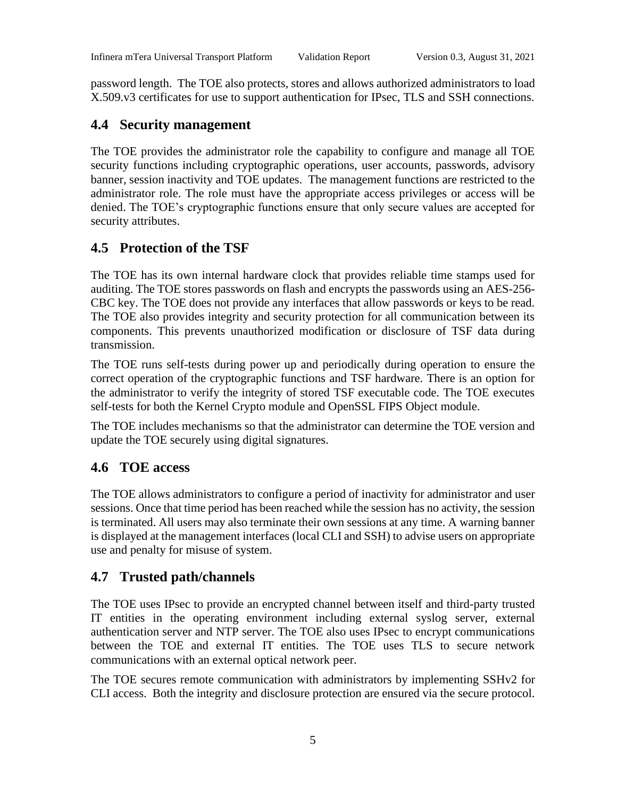password length. The TOE also protects, stores and allows authorized administrators to load X.509.v3 certificates for use to support authentication for IPsec, TLS and SSH connections.

#### <span id="page-7-0"></span>**4.4 Security management**

The TOE provides the administrator role the capability to configure and manage all TOE security functions including cryptographic operations, user accounts, passwords, advisory banner, session inactivity and TOE updates. The management functions are restricted to the administrator role. The role must have the appropriate access privileges or access will be denied. The TOE's cryptographic functions ensure that only secure values are accepted for security attributes.

## <span id="page-7-1"></span>**4.5 Protection of the TSF**

The TOE has its own internal hardware clock that provides reliable time stamps used for auditing. The TOE stores passwords on flash and encrypts the passwords using an AES-256- CBC key. The TOE does not provide any interfaces that allow passwords or keys to be read. The TOE also provides integrity and security protection for all communication between its components. This prevents unauthorized modification or disclosure of TSF data during transmission.

The TOE runs self-tests during power up and periodically during operation to ensure the correct operation of the cryptographic functions and TSF hardware. There is an option for the administrator to verify the integrity of stored TSF executable code. The TOE executes self-tests for both the Kernel Crypto module and OpenSSL FIPS Object module.

The TOE includes mechanisms so that the administrator can determine the TOE version and update the TOE securely using digital signatures.

## <span id="page-7-2"></span>**4.6 TOE access**

The TOE allows administrators to configure a period of inactivity for administrator and user sessions. Once that time period has been reached while the session has no activity, the session is terminated. All users may also terminate their own sessions at any time. A warning banner is displayed at the management interfaces (local CLI and SSH) to advise users on appropriate use and penalty for misuse of system.

## <span id="page-7-3"></span>**4.7 Trusted path/channels**

The TOE uses IPsec to provide an encrypted channel between itself and third-party trusted IT entities in the operating environment including external syslog server, external authentication server and NTP server. The TOE also uses IPsec to encrypt communications between the TOE and external IT entities. The TOE uses TLS to secure network communications with an external optical network peer.

The TOE secures remote communication with administrators by implementing SSHv2 for CLI access. Both the integrity and disclosure protection are ensured via the secure protocol.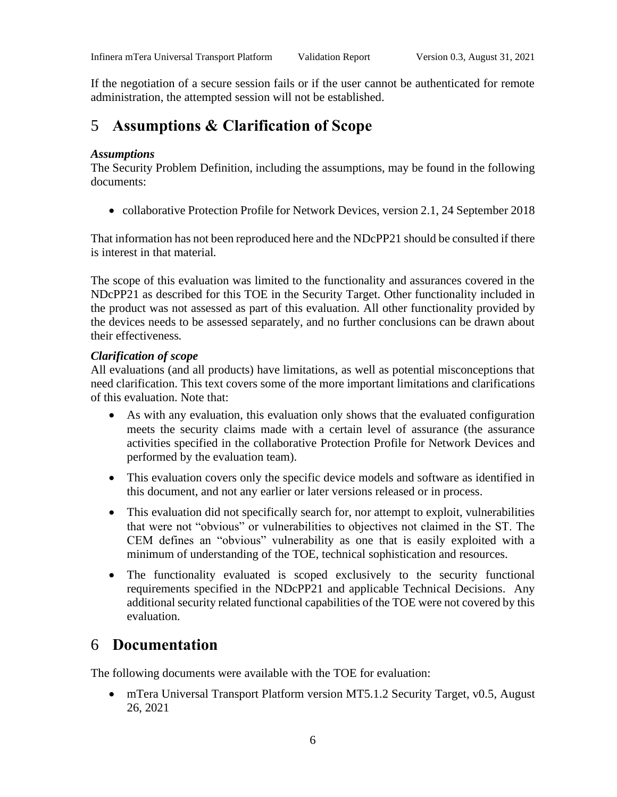If the negotiation of a secure session fails or if the user cannot be authenticated for remote administration, the attempted session will not be established.

## <span id="page-8-0"></span>5 **Assumptions & Clarification of Scope**

#### *Assumptions*

The Security Problem Definition, including the assumptions, may be found in the following documents:

• collaborative Protection Profile for Network Devices, version 2.1, 24 September 2018

That information has not been reproduced here and the NDcPP21 should be consulted if there is interest in that material*.*

The scope of this evaluation was limited to the functionality and assurances covered in the NDcPP21 as described for this TOE in the Security Target. Other functionality included in the product was not assessed as part of this evaluation. All other functionality provided by the devices needs to be assessed separately, and no further conclusions can be drawn about their effectiveness*.*

#### *Clarification of scope*

All evaluations (and all products) have limitations, as well as potential misconceptions that need clarification. This text covers some of the more important limitations and clarifications of this evaluation. Note that:

- As with any evaluation, this evaluation only shows that the evaluated configuration meets the security claims made with a certain level of assurance (the assurance activities specified in the collaborative Protection Profile for Network Devices and performed by the evaluation team).
- This evaluation covers only the specific device models and software as identified in this document, and not any earlier or later versions released or in process.
- This evaluation did not specifically search for, nor attempt to exploit, vulnerabilities that were not "obvious" or vulnerabilities to objectives not claimed in the ST. The CEM defines an "obvious" vulnerability as one that is easily exploited with a minimum of understanding of the TOE, technical sophistication and resources.
- The functionality evaluated is scoped exclusively to the security functional requirements specified in the NDcPP21 and applicable Technical Decisions. Any additional security related functional capabilities of the TOE were not covered by this evaluation.

## <span id="page-8-1"></span>6 **Documentation**

The following documents were available with the TOE for evaluation:

• mTera Universal Transport Platform version MT5.1.2 Security Target, v0.5, August 26, 2021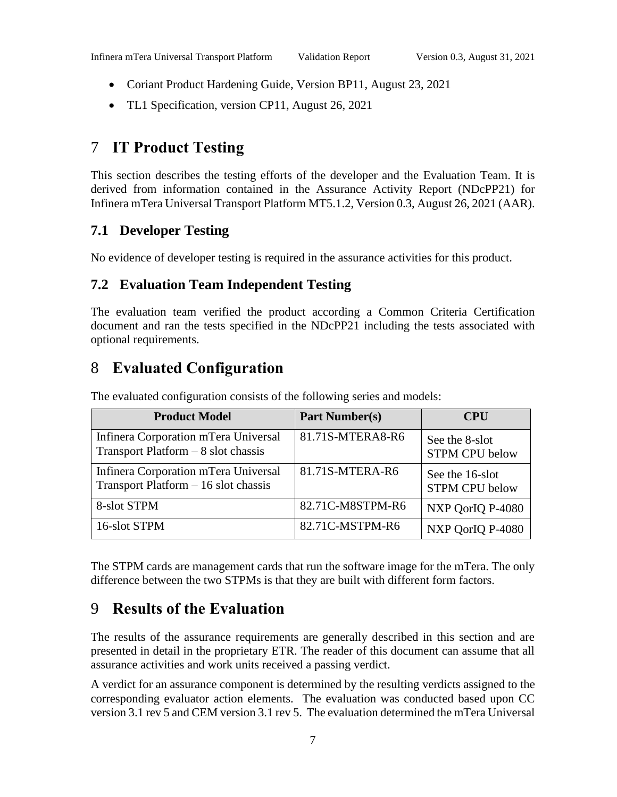- Coriant Product Hardening Guide, Version BP11, August 23, 2021
- TL1 Specification, version CP11, August 26, 2021

## <span id="page-9-0"></span>7 **IT Product Testing**

This section describes the testing efforts of the developer and the Evaluation Team. It is derived from information contained in the Assurance Activity Report (NDcPP21) for Infinera mTera Universal Transport Platform MT5.1.2, Version 0.3, August 26, 2021 (AAR).

#### <span id="page-9-1"></span>**7.1 Developer Testing**

<span id="page-9-2"></span>No evidence of developer testing is required in the assurance activities for this product.

#### **7.2 Evaluation Team Independent Testing**

The evaluation team verified the product according a Common Criteria Certification document and ran the tests specified in the NDcPP21 including the tests associated with optional requirements.

## <span id="page-9-3"></span>8 **Evaluated Configuration**

| <b>Product Model</b>                                                          | <b>Part Number(s)</b> | <b>CPU</b>                               |
|-------------------------------------------------------------------------------|-----------------------|------------------------------------------|
| Infinera Corporation mTera Universal<br>Transport Platform $-8$ slot chassis  | 81.71S-MTERA8-R6      | See the 8-slot<br><b>STPM CPU below</b>  |
| Infinera Corporation mTera Universal<br>Transport Platform $-16$ slot chassis | 81.71S-MTERA-R6       | See the 16-slot<br><b>STPM CPU below</b> |
| 8-slot STPM                                                                   | 82.71C-M8STPM-R6      | NXP QorIQ P-4080                         |
| 16-slot STPM                                                                  | 82.71C-MSTPM-R6       | NXP QorIQ P-4080                         |

The evaluated configuration consists of the following series and models:

The STPM cards are management cards that run the software image for the mTera. The only difference between the two STPMs is that they are built with different form factors.

## <span id="page-9-4"></span>9 **Results of the Evaluation**

The results of the assurance requirements are generally described in this section and are presented in detail in the proprietary ETR. The reader of this document can assume that all assurance activities and work units received a passing verdict.

A verdict for an assurance component is determined by the resulting verdicts assigned to the corresponding evaluator action elements. The evaluation was conducted based upon CC version 3.1 rev 5 and CEM version 3.1 rev 5. The evaluation determined the mTera Universal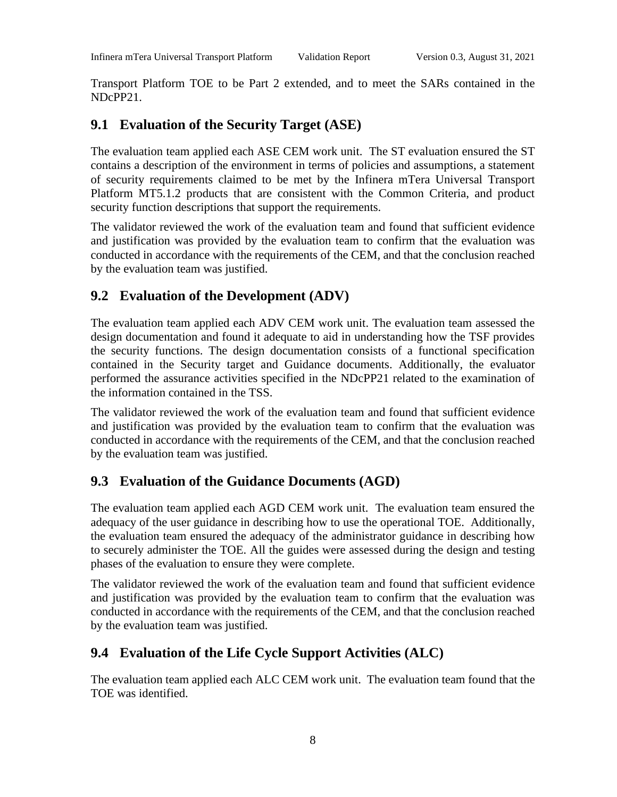Transport Platform TOE to be Part 2 extended, and to meet the SARs contained in the NDcPP21.

## <span id="page-10-0"></span>**9.1 Evaluation of the Security Target (ASE)**

The evaluation team applied each ASE CEM work unit. The ST evaluation ensured the ST contains a description of the environment in terms of policies and assumptions, a statement of security requirements claimed to be met by the Infinera mTera Universal Transport Platform MT5.1.2 products that are consistent with the Common Criteria, and product security function descriptions that support the requirements.

The validator reviewed the work of the evaluation team and found that sufficient evidence and justification was provided by the evaluation team to confirm that the evaluation was conducted in accordance with the requirements of the CEM, and that the conclusion reached by the evaluation team was justified.

## <span id="page-10-1"></span>**9.2 Evaluation of the Development (ADV)**

The evaluation team applied each ADV CEM work unit. The evaluation team assessed the design documentation and found it adequate to aid in understanding how the TSF provides the security functions. The design documentation consists of a functional specification contained in the Security target and Guidance documents. Additionally, the evaluator performed the assurance activities specified in the NDcPP21 related to the examination of the information contained in the TSS.

The validator reviewed the work of the evaluation team and found that sufficient evidence and justification was provided by the evaluation team to confirm that the evaluation was conducted in accordance with the requirements of the CEM, and that the conclusion reached by the evaluation team was justified.

## <span id="page-10-2"></span>**9.3 Evaluation of the Guidance Documents (AGD)**

The evaluation team applied each AGD CEM work unit. The evaluation team ensured the adequacy of the user guidance in describing how to use the operational TOE. Additionally, the evaluation team ensured the adequacy of the administrator guidance in describing how to securely administer the TOE. All the guides were assessed during the design and testing phases of the evaluation to ensure they were complete.

The validator reviewed the work of the evaluation team and found that sufficient evidence and justification was provided by the evaluation team to confirm that the evaluation was conducted in accordance with the requirements of the CEM, and that the conclusion reached by the evaluation team was justified.

## <span id="page-10-3"></span>**9.4 Evaluation of the Life Cycle Support Activities (ALC)**

The evaluation team applied each ALC CEM work unit. The evaluation team found that the TOE was identified.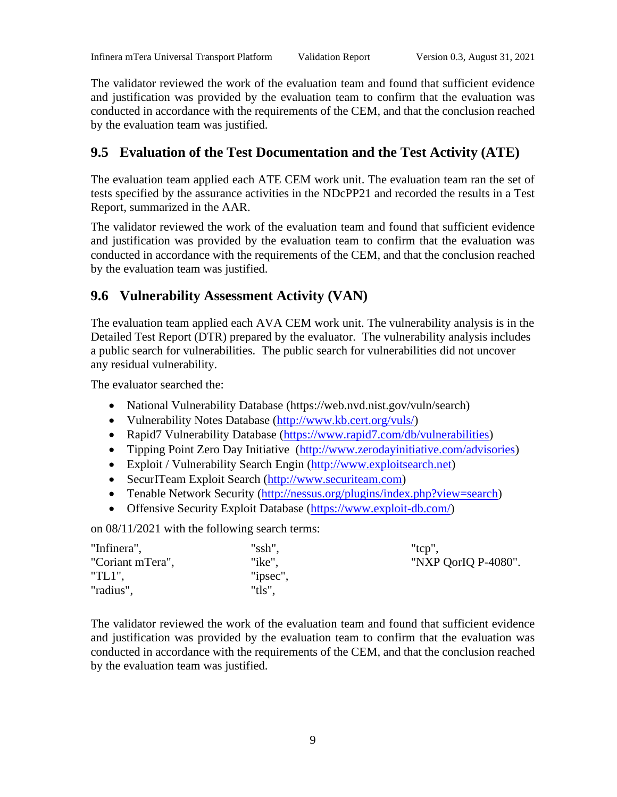The validator reviewed the work of the evaluation team and found that sufficient evidence and justification was provided by the evaluation team to confirm that the evaluation was conducted in accordance with the requirements of the CEM, and that the conclusion reached by the evaluation team was justified.

## <span id="page-11-0"></span>**9.5 Evaluation of the Test Documentation and the Test Activity (ATE)**

The evaluation team applied each ATE CEM work unit. The evaluation team ran the set of tests specified by the assurance activities in the NDcPP21 and recorded the results in a Test Report, summarized in the AAR.

The validator reviewed the work of the evaluation team and found that sufficient evidence and justification was provided by the evaluation team to confirm that the evaluation was conducted in accordance with the requirements of the CEM, and that the conclusion reached by the evaluation team was justified.

## <span id="page-11-1"></span>**9.6 Vulnerability Assessment Activity (VAN)**

The evaluation team applied each AVA CEM work unit. The vulnerability analysis is in the Detailed Test Report (DTR) prepared by the evaluator. The vulnerability analysis includes a public search for vulnerabilities. The public search for vulnerabilities did not uncover any residual vulnerability.

The evaluator searched the:

- National Vulnerability Database (https://web.nvd.nist.gov/vuln/search)
- Vulnerability Notes Database [\(http://www.kb.cert.org/vuls/\)](http://www.kb.cert.org/vuls/)
- Rapid7 Vulnerability Database [\(https://www.rapid7.com/db/vulnerabilities\)](https://www.rapid7.com/db/vulnerabilities)
- Tipping Point Zero Day Initiative [\(http://www.zerodayinitiative.com/advisories\)](http://www.zerodayinitiative.com/advisories)
- Exploit / Vulnerability Search Engin [\(http://www.exploitsearch.net\)](http://www.exploitsearch.net/)
- SecurITeam Exploit Search [\(http://www.securiteam.com\)](http://www.securiteam.com/)
- Tenable Network Security [\(http://nessus.org/plugins/index.php?view=search\)](http://nessus.org/plugins/index.php?view=search)
- Offensive Security Exploit Database [\(https://www.exploit-db.com/\)](https://www.exploit-db.com/)

on 08/11/2021 with the following search terms:

| "Infinera",      | "ssh",   | " $tcp$ ",          |
|------------------|----------|---------------------|
| "Coriant mTera", | "ike",   | "NXP QorIQ P-4080". |
| "TL1",           | "ipsec", |                     |
| "radius",        | "tls",   |                     |

The validator reviewed the work of the evaluation team and found that sufficient evidence and justification was provided by the evaluation team to confirm that the evaluation was conducted in accordance with the requirements of the CEM, and that the conclusion reached by the evaluation team was justified.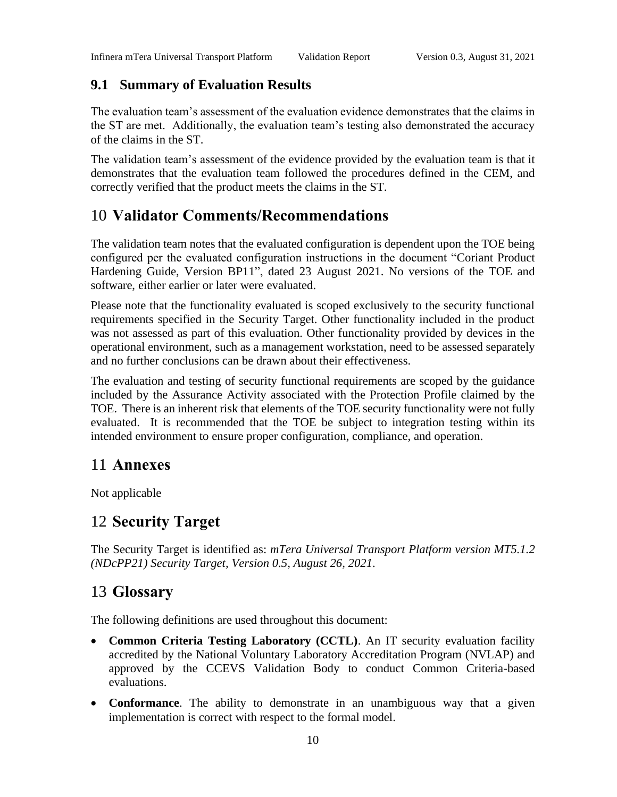## <span id="page-12-0"></span>**9.1 Summary of Evaluation Results**

The evaluation team's assessment of the evaluation evidence demonstrates that the claims in the ST are met. Additionally, the evaluation team's testing also demonstrated the accuracy of the claims in the ST.

The validation team's assessment of the evidence provided by the evaluation team is that it demonstrates that the evaluation team followed the procedures defined in the CEM, and correctly verified that the product meets the claims in the ST.

## <span id="page-12-1"></span>10 **Validator Comments/Recommendations**

The validation team notes that the evaluated configuration is dependent upon the TOE being configured per the evaluated configuration instructions in the document "Coriant Product Hardening Guide, Version BP11", dated 23 August 2021. No versions of the TOE and software, either earlier or later were evaluated.

Please note that the functionality evaluated is scoped exclusively to the security functional requirements specified in the Security Target. Other functionality included in the product was not assessed as part of this evaluation. Other functionality provided by devices in the operational environment, such as a management workstation, need to be assessed separately and no further conclusions can be drawn about their effectiveness.

The evaluation and testing of security functional requirements are scoped by the guidance included by the Assurance Activity associated with the Protection Profile claimed by the TOE. There is an inherent risk that elements of the TOE security functionality were not fully evaluated. It is recommended that the TOE be subject to integration testing within its intended environment to ensure proper configuration, compliance, and operation.

## <span id="page-12-2"></span>11 **Annexes**

Not applicable

## <span id="page-12-3"></span>12 **Security Target**

The Security Target is identified as: *mTera Universal Transport Platform version MT5.1.2 (NDcPP21) Security Target, Version 0.5, August 26, 2021*.

## <span id="page-12-4"></span>13 **Glossary**

The following definitions are used throughout this document:

- **Common Criteria Testing Laboratory (CCTL)**. An IT security evaluation facility accredited by the National Voluntary Laboratory Accreditation Program (NVLAP) and approved by the CCEVS Validation Body to conduct Common Criteria-based evaluations.
- **Conformance**. The ability to demonstrate in an unambiguous way that a given implementation is correct with respect to the formal model.